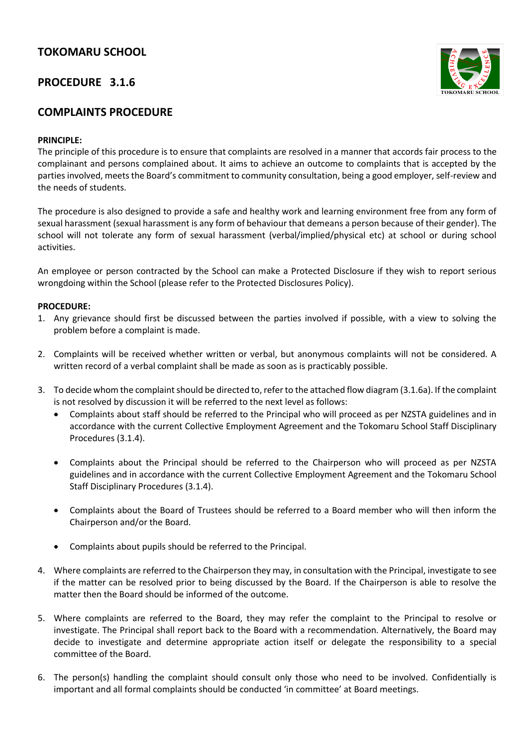# **TOKOMARU SCHOOL**

### **PROCEDURE 3.1.6**

## **COMPLAINTS PROCEDURE**

#### **PRINCIPLE:**

The principle of this procedure is to ensure that complaints are resolved in a manner that accords fair process to the complainant and persons complained about. It aims to achieve an outcome to complaints that is accepted by the parties involved, meets the Board's commitment to community consultation, being a good employer, self-review and the needs of students.

The procedure is also designed to provide a safe and healthy work and learning environment free from any form of sexual harassment (sexual harassment is any form of behaviour that demeans a person because of their gender). The school will not tolerate any form of sexual harassment (verbal/implied/physical etc) at school or during school activities.

An employee or person contracted by the School can make a Protected Disclosure if they wish to report serious wrongdoing within the School (please refer to the Protected Disclosures Policy).

#### **PROCEDURE:**

- 1. Any grievance should first be discussed between the parties involved if possible, with a view to solving the problem before a complaint is made.
- 2. Complaints will be received whether written or verbal, but anonymous complaints will not be considered. A written record of a verbal complaint shall be made as soon as is practicably possible.
- 3. To decide whom the complaint should be directed to, refer to the attached flow diagram (3.1.6a). If the complaint is not resolved by discussion it will be referred to the next level as follows:
	- Complaints about staff should be referred to the Principal who will proceed as per NZSTA guidelines and in accordance with the current Collective Employment Agreement and the Tokomaru School Staff Disciplinary Procedures (3.1.4).
	- Complaints about the Principal should be referred to the Chairperson who will proceed as per NZSTA guidelines and in accordance with the current Collective Employment Agreement and the Tokomaru School Staff Disciplinary Procedures (3.1.4).
	- Complaints about the Board of Trustees should be referred to a Board member who will then inform the Chairperson and/or the Board.
	- Complaints about pupils should be referred to the Principal.
- 4. Where complaints are referred to the Chairperson they may, in consultation with the Principal, investigate to see if the matter can be resolved prior to being discussed by the Board. If the Chairperson is able to resolve the matter then the Board should be informed of the outcome.
- 5. Where complaints are referred to the Board, they may refer the complaint to the Principal to resolve or investigate. The Principal shall report back to the Board with a recommendation. Alternatively, the Board may decide to investigate and determine appropriate action itself or delegate the responsibility to a special committee of the Board.
- 6. The person(s) handling the complaint should consult only those who need to be involved. Confidentially is important and all formal complaints should be conducted 'in committee' at Board meetings.